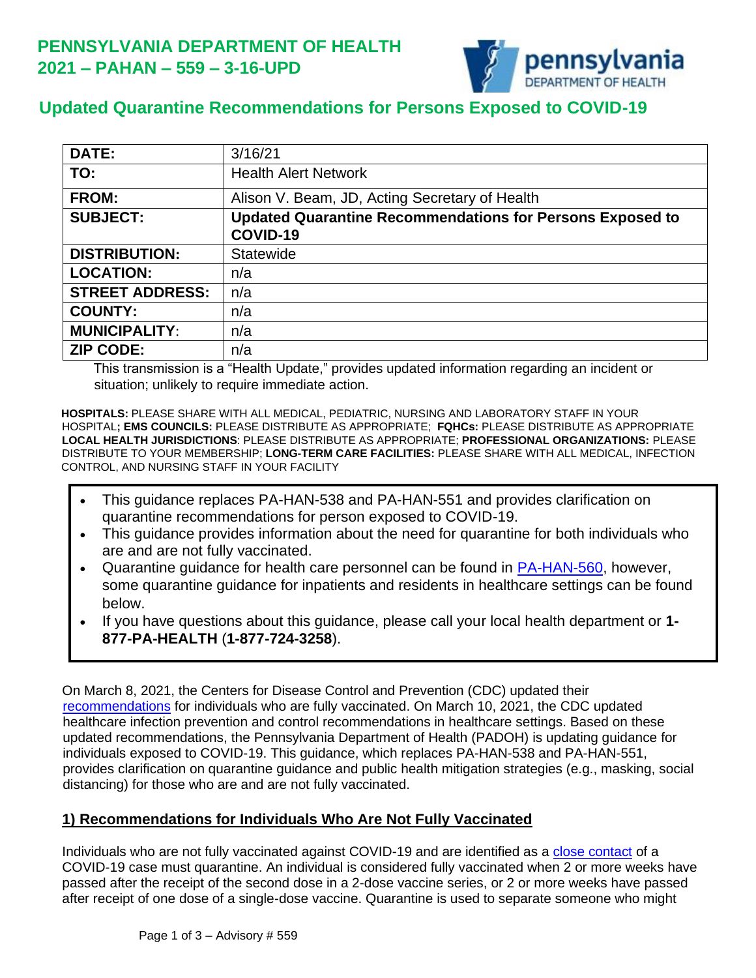

## **Updated Quarantine Recommendations for Persons Exposed to COVID-19**

| <b>DATE:</b>           | 3/16/21                                                          |
|------------------------|------------------------------------------------------------------|
| TO:                    | <b>Health Alert Network</b>                                      |
| <b>FROM:</b>           | Alison V. Beam, JD, Acting Secretary of Health                   |
| <b>SUBJECT:</b>        | <b>Updated Quarantine Recommendations for Persons Exposed to</b> |
|                        | COVID-19                                                         |
| <b>DISTRIBUTION:</b>   | <b>Statewide</b>                                                 |
| <b>LOCATION:</b>       | n/a                                                              |
| <b>STREET ADDRESS:</b> | n/a                                                              |
| <b>COUNTY:</b>         | n/a                                                              |
| <b>MUNICIPALITY:</b>   | n/a                                                              |
| <b>ZIP CODE:</b>       | n/a                                                              |

This transmission is a "Health Update," provides updated information regarding an incident or situation; unlikely to require immediate action.

**HOSPITALS:** PLEASE SHARE WITH ALL MEDICAL, PEDIATRIC, NURSING AND LABORATORY STAFF IN YOUR HOSPITAL**; EMS COUNCILS:** PLEASE DISTRIBUTE AS APPROPRIATE; **FQHCs:** PLEASE DISTRIBUTE AS APPROPRIATE **LOCAL HEALTH JURISDICTIONS**: PLEASE DISTRIBUTE AS APPROPRIATE; **PROFESSIONAL ORGANIZATIONS:** PLEASE DISTRIBUTE TO YOUR MEMBERSHIP; **LONG-TERM CARE FACILITIES:** PLEASE SHARE WITH ALL MEDICAL, INFECTION CONTROL, AND NURSING STAFF IN YOUR FACILITY

- This guidance replaces PA-HAN-538 and PA-HAN-551 and provides clarification on quarantine recommendations for person exposed to COVID-19.
- This guidance provides information about the need for quarantine for both individuals who are and are not fully vaccinated.
- Quarantine guidance for health care personnel can be found in **PA-HAN-560**, however, some quarantine guidance for inpatients and residents in healthcare settings can be found below.
- If you have questions about this guidance, please call your local health department or **1- 877-PA-HEALTH** (**1-877-724-3258**).

On March 8, 2021, the Centers for Disease Control and Prevention (CDC) updated their [recommendations](https://www.cdc.gov/coronavirus/2019-ncov/vaccines/fully-vaccinated-guidance.html) for individuals who are fully vaccinated. On March 10, 2021, the CDC updated healthcare infection prevention and control recommendations in healthcare settings. Based on these updated recommendations, the Pennsylvania Department of Health (PADOH) is updating guidance for individuals exposed to COVID-19. This guidance, which replaces PA-HAN-538 and PA-HAN-551, provides clarification on quarantine guidance and public health mitigation strategies (e.g., masking, social distancing) for those who are and are not fully vaccinated.

## **1) Recommendations for Individuals Who Are Not Fully Vaccinated**

Individuals who are not fully vaccinated against COVID-19 and are identified as a [close contact](https://www.cdc.gov/coronavirus/2019-ncov/php/contact-tracing/contact-tracing-plan/appendix.html#contact) of a COVID-19 case must quarantine. An individual is considered fully vaccinated when 2 or more weeks have passed after the receipt of the second dose in a 2-dose vaccine series, or 2 or more weeks have passed after receipt of one dose of a single-dose vaccine. Quarantine is used to separate someone who might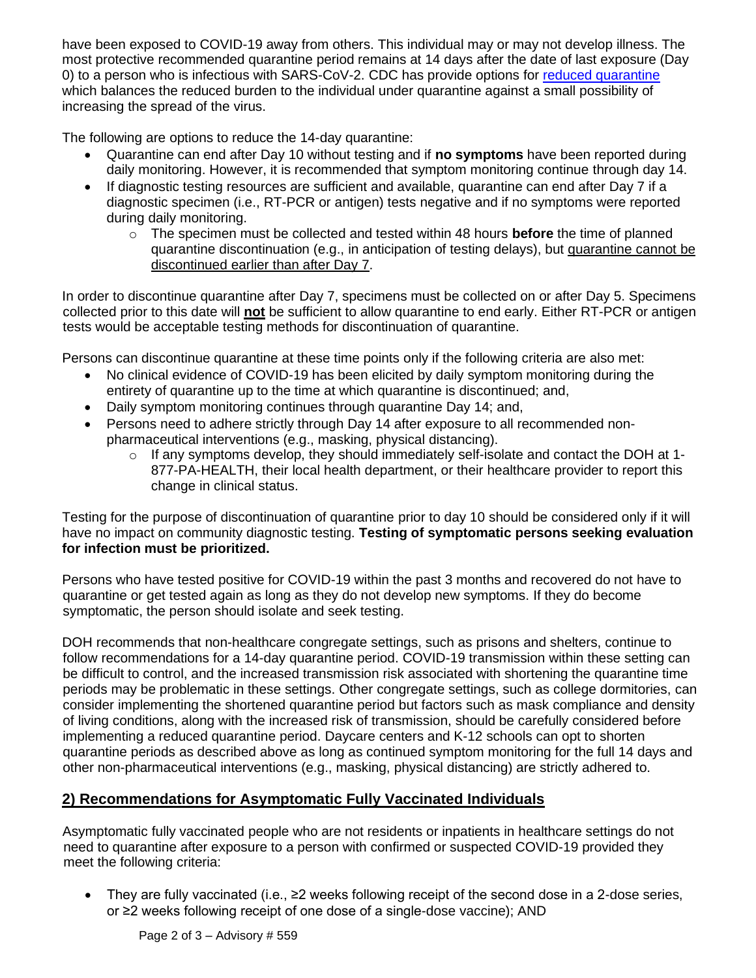have been exposed to COVID-19 away from others. This individual may or may not develop illness. The most protective recommended quarantine period remains at 14 days after the date of last exposure (Day 0) to a person who is infectious with SARS-CoV-2. CDC has provide options for [reduced quarantine](https://www.cdc.gov/coronavirus/2019-ncov/if-you-are-sick/quarantine.html) which balances the reduced burden to the individual under quarantine against a small possibility of increasing the spread of the virus.

The following are options to reduce the 14-day quarantine:

- Quarantine can end after Day 10 without testing and if **no symptoms** have been reported during daily monitoring. However, it is recommended that symptom monitoring continue through day 14.
- If diagnostic testing resources are sufficient and available, quarantine can end after Day 7 if a diagnostic specimen (i.e., RT-PCR or antigen) tests negative and if no symptoms were reported during daily monitoring.
	- o The specimen must be collected and tested within 48 hours **before** the time of planned quarantine discontinuation (e.g., in anticipation of testing delays), but quarantine cannot be discontinued earlier than after Day 7.

In order to discontinue quarantine after Day 7, specimens must be collected on or after Day 5. Specimens collected prior to this date will **not** be sufficient to allow quarantine to end early. Either RT-PCR or antigen tests would be acceptable testing methods for discontinuation of quarantine.

Persons can discontinue quarantine at these time points only if the following criteria are also met:

- No clinical evidence of COVID-19 has been elicited by daily symptom monitoring during the entirety of quarantine up to the time at which quarantine is discontinued; and,
- Daily symptom monitoring continues through quarantine Day 14; and,
- Persons need to adhere strictly through Day 14 after exposure to all recommended nonpharmaceutical interventions (e.g., masking, physical distancing).
	- o If any symptoms develop, they should immediately self-isolate and contact the DOH at 1- 877-PA-HEALTH, their local health department, or their healthcare provider to report this change in clinical status.

Testing for the purpose of discontinuation of quarantine prior to day 10 should be considered only if it will have no impact on community diagnostic testing. **Testing of symptomatic persons seeking evaluation for infection must be prioritized.**

Persons who have tested positive for COVID-19 within the past 3 months and recovered do not have to quarantine or get tested again as long as they do not develop new symptoms. If they do become symptomatic, the person should isolate and seek testing.

DOH recommends that non-healthcare congregate settings, such as prisons and shelters, continue to follow recommendations for a 14-day quarantine period. COVID-19 transmission within these setting can be difficult to control, and the increased transmission risk associated with shortening the quarantine time periods may be problematic in these settings. Other congregate settings, such as college dormitories, can consider implementing the shortened quarantine period but factors such as mask compliance and density of living conditions, along with the increased risk of transmission, should be carefully considered before implementing a reduced quarantine period. Daycare centers and K-12 schools can opt to shorten quarantine periods as described above as long as continued symptom monitoring for the full 14 days and other non-pharmaceutical interventions (e.g., masking, physical distancing) are strictly adhered to.

## **2) Recommendations for Asymptomatic Fully Vaccinated Individuals**

Asymptomatic fully vaccinated people who are not residents or inpatients in healthcare settings do not need to quarantine after exposure to a person with confirmed or suspected COVID-19 provided they meet the following criteria:

• They are fully vaccinated (i.e., ≥2 weeks following receipt of the second dose in a 2-dose series, or ≥2 weeks following receipt of one dose of a single-dose vaccine); AND